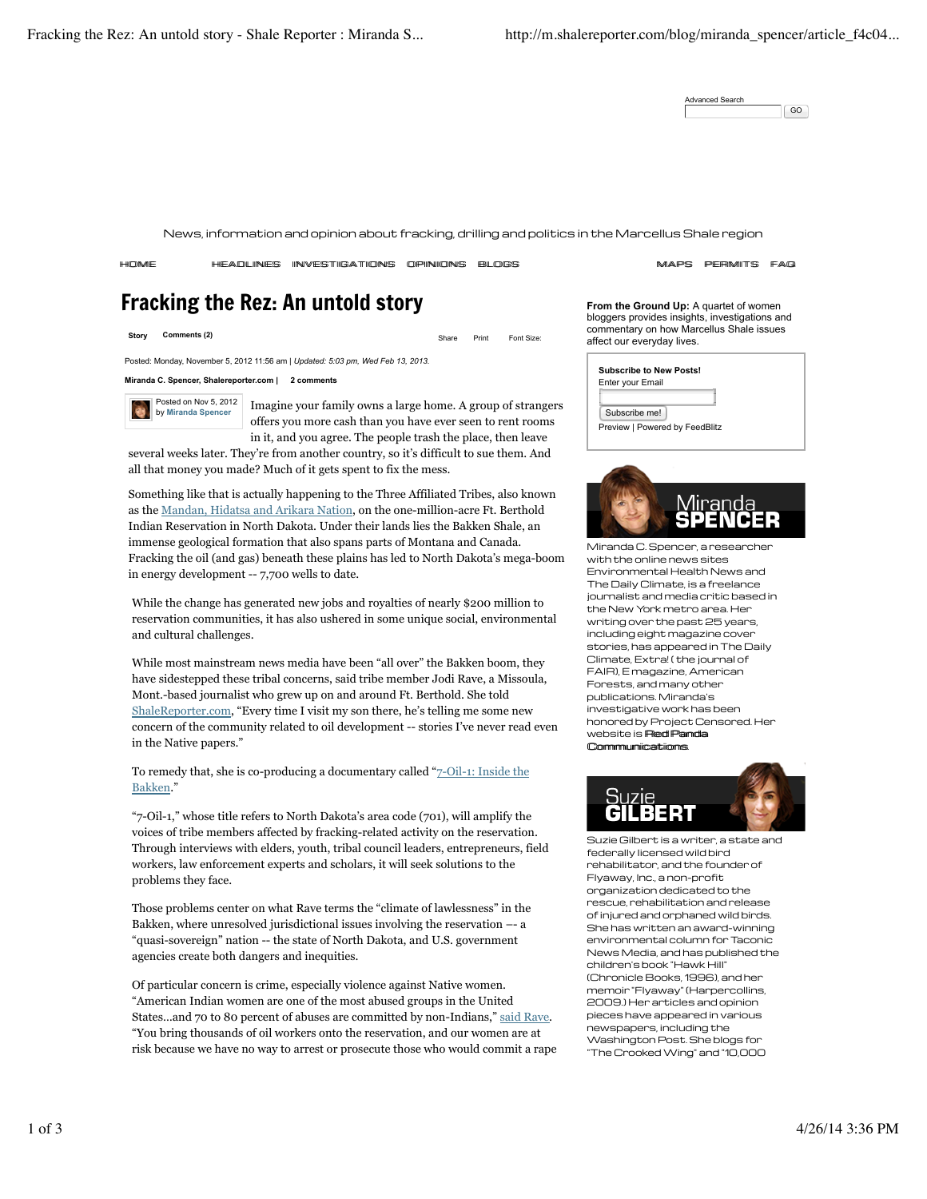Advanced Search GO

News, information and opinion about fracking, drilling and politics in the Marcellus Shale region

HEADLINES INVESTIGATIONS OPINIONS BLOGS SAARS MAPS PERMITS FAQ

# Fracking the Rez: An untold story

**Story Comments (2)** Starting Comments (2) Share Print Font Size:

Posted: Monday, November 5, 2012 11:56 am | *Updated: 5:03 pm, Wed Feb 13, 2013.*

**Miranda C. Spencer, Shalereporter.com | 2 comments**

Posted on Nov 5, 2012 by **Miranda Spencer**

Imagine your family owns a large home. A group of strangers offers you more cash than you have ever seen to rent rooms in it, and you agree. The people trash the place, then leave

several weeks later. They're from another country, so it's difficult to sue them. And all that money you made? Much of it gets spent to fix the mess.

Something like that is actually happening to the Three Affiliated Tribes, also known as the Mandan, Hidatsa and Arikara Nation, on the one-million-acre Ft. Berthold Indian Reservation in North Dakota. Under their lands lies the Bakken Shale, an immense geological formation that also spans parts of Montana and Canada. Fracking the oil (and gas) beneath these plains has led to North Dakota's mega-boom in energy development -- 7,700 wells to date.

While the change has generated new jobs and royalties of nearly \$200 million to reservation communities, it has also ushered in some unique social, environmental and cultural challenges.

While most mainstream news media have been "all over" the Bakken boom, they have sidestepped these tribal concerns, said tribe member Jodi Rave, a Missoula, Mont.-based journalist who grew up on and around Ft. Berthold. She told ShaleReporter.com, "Every time I visit my son there, he's telling me some new concern of the community related to oil development -- stories I've never read even in the Native papers."

To remedy that, she is co-producing a documentary called "7-Oil-1: Inside the Bakken."

"7-Oil-1," whose title refers to North Dakota's area code (701), will amplify the voices of tribe members affected by fracking-related activity on the reservation. Through interviews with elders, youth, tribal council leaders, entrepreneurs, field workers, law enforcement experts and scholars, it will seek solutions to the problems they face.

Those problems center on what Rave terms the "climate of lawlessness" in the Bakken, where unresolved jurisdictional issues involving the reservation –- a "quasi-sovereign" nation -- the state of North Dakota, and U.S. government agencies create both dangers and inequities.

Of particular concern is crime, especially violence against Native women. "American Indian women are one of the most abused groups in the United States…and 70 to 80 percent of abuses are committed by non-Indians," said Rave. "You bring thousands of oil workers onto the reservation, and our women are at risk because we have no way to arrest or prosecute those who would commit a rape **From the Ground Up:** A quartet of women bloggers provides insights, investigations and commentary on how Marcellus Shale issues affect our everyday lives.

| <b>Subscribe to New Posts!</b> |                                |  |  |
|--------------------------------|--------------------------------|--|--|
|                                | Enter your Email               |  |  |
|                                |                                |  |  |
|                                | Subscribe me!                  |  |  |
|                                | Preview   Powered by FeedBlitz |  |  |
|                                |                                |  |  |



Miranda C. Spencer, a researcher with the online news sites Environmental Health News and The Daily Climate, is a freelance journalist and media critic based in the New York metro area. Her writing over the past 25 years, including eight magazine cover stories, has appeared in The Daily Climate, Extra! ( the journal of FAIR), E magazine, American Forests, and many other publications. Miranda's investigative work has been honored by Project Censored. Her website is **Red Panda** CCoommmmuunniiccaattiioonnss.



Suzie Gilbert is a writer, a state and federally licensed wild bird rehabilitator, and the founder of Flyaway, Inc., a non-profit organization dedicated to the rescue, rehabilitation and release of injured and orphaned wild birds. She has written an award-winning environmental column for Taconic News Media, and has published the children's book "Hawk Hill" (Chronicle Books, 1996), and her memoir "Flyaway" (Harpercollins, 2009.) Her articles and opinion pieces have appeared in various newspapers, including the Washington Post. She blogs for "The Crooked Wing" and "10,000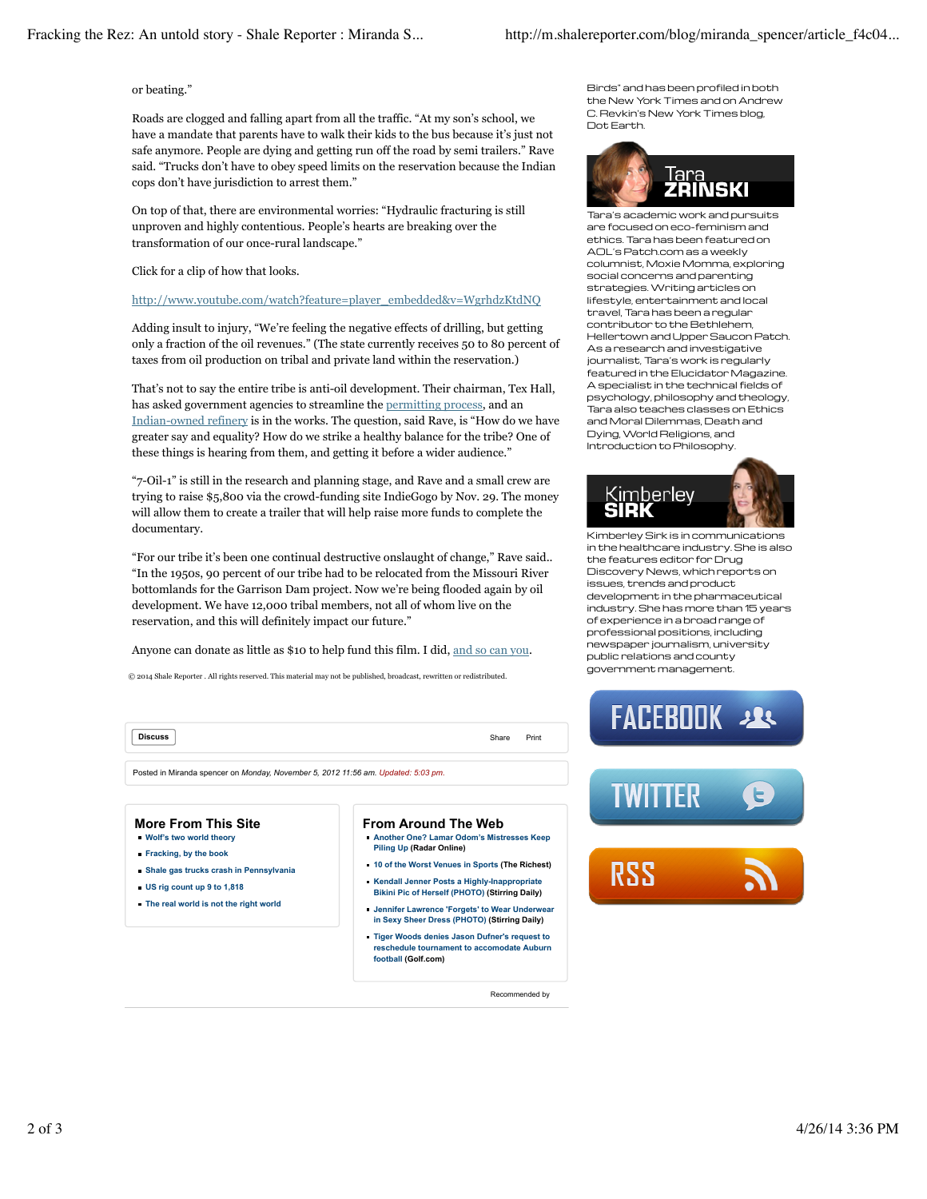## or beating."

Roads are clogged and falling apart from all the traffic. "At my son's school, we have a mandate that parents have to walk their kids to the bus because it's just not safe anymore. People are dying and getting run off the road by semi trailers." Rave said. "Trucks don't have to obey speed limits on the reservation because the Indian cops don't have jurisdiction to arrest them."

On top of that, there are environmental worries: "Hydraulic fracturing is still unproven and highly contentious. People's hearts are breaking over the transformation of our once-rural landscape."

### Click for a clip of how that looks.

## http://www.youtube.com/watch?feature=player\_embedded&v=WgrhdzKtdNQ

Adding insult to injury, "We're feeling the negative effects of drilling, but getting only a fraction of the oil revenues." (The state currently receives 50 to 80 percent of taxes from oil production on tribal and private land within the reservation.)

That's not to say the entire tribe is anti-oil development. Their chairman, Tex Hall, has asked government agencies to streamline the permitting process, and an Indian-owned refinery is in the works. The question, said Rave, is "How do we have greater say and equality? How do we strike a healthy balance for the tribe? One of these things is hearing from them, and getting it before a wider audience."

"7-Oil-1" is still in the research and planning stage, and Rave and a small crew are trying to raise \$5,800 via the crowd-funding site IndieGogo by Nov. 29. The money will allow them to create a trailer that will help raise more funds to complete the documentary.

"For our tribe it's been one continual destructive onslaught of change," Rave said.. "In the 1950s, 90 percent of our tribe had to be relocated from the Missouri River bottomlands for the Garrison Dam project. Now we're being flooded again by oil development. We have 12,000 tribal members, not all of whom live on the reservation, and this will definitely impact our future."

Anyone can donate as little as \$10 to help fund this film. I did, and so can you.

© 2014 Shale Reporter . All rights reserved. This material may not be published, broadcast, rewritten or redistributed.

**Discuss** Share Print

Posted in Miranda spencer on *Monday, November 5, 2012 11:56 am. Updated: 5:03 pm.*

#### **More From This Site Wolf's two world theory**

- **Fracking, by the book**
- **Shale gas trucks crash in Pennsylvania**
- **US rig count up 9 to 1,818**
- **The real world is not the right world**

#### **From Around The Web Another One? Lamar Odom's Mistresses Keep**

- **Piling Up (Radar Online)**
- **10 of the Worst Venues in Sports (The Richest) Kendall Jenner Posts a Highly-Inappropriate**
- **Bikini Pic of Herself (PHOTO) (Stirring Daily) Jennifer Lawrence 'Forgets' to Wear Underwear in Sexy Sheer Dress (PHOTO) (Stirring Daily)**
- **Tiger Woods denies Jason Dufner's request to reschedule tournament to accomodate Auburn**

**football (Golf.com)**

Recommended by

Birds" and has been profiled in both the New York Times and on Andrew C. Revkin's New York Times blog, Dot Earth.



Tara's academic work and pursuits are focused on eco-feminism and ethics. Tara has been featured on AOL's Patch.com as a weekly columnist, Moxie Momma, exploring social concerns and parenting strategies. Writing articles on lifestyle, entertainment and local travel, Tara has been a regular contributor to the Bethlehem, Hellertown and Upper Saucon Patch. As a research and investigative journalist, Tara's work is regularly featured in the Elucidator Magazine. A specialist in the technical fields of psychology, philosophy and theology, Tara also teaches classes on Ethics and Moral Dilemmas, Death and Dying, World Religions, and Introduction to Philosophy.



Kimberley Sirk is in communications in the healthcare industry. She is also the features editor for Drug Discovery News, which reports on issues, trends and product development in the pharmaceutical industry. She has more than 15 years of experience in a broad range of professional positions, including newspaper journalism, university public relations and county government management.





RSS